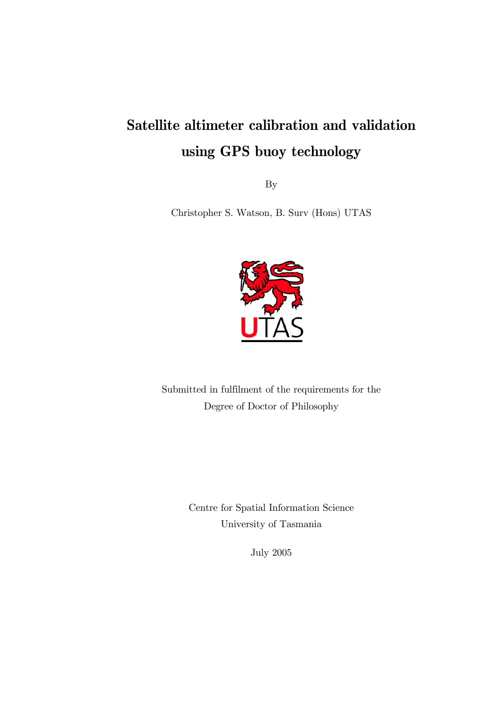# **Satellite altimeter calibration and validation using GPS buoy technology**

By

Christopher S. Watson, B. Surv (Hons) UTAS



Submitted in fulfilment of the requirements for the Degree of Doctor of Philosophy

> Centre for Spatial Information Science University of Tasmania

> > July 2005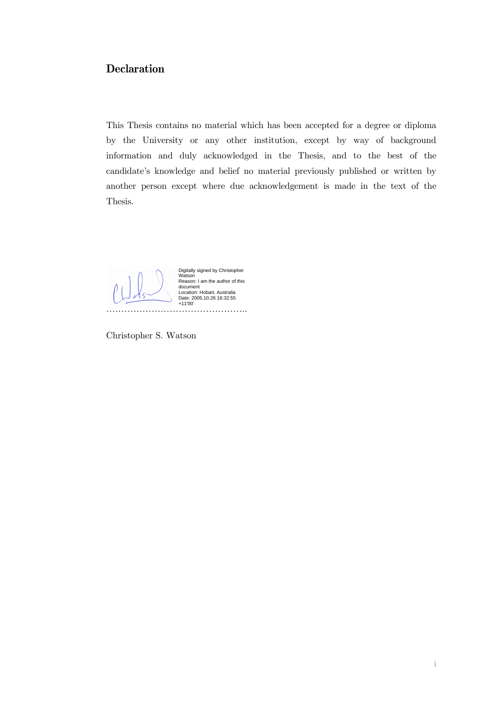#### **Declaration**

This Thesis contains no material which has been accepted for a degree or diploma by the University or any other institution, except by way of background information and duly acknowledged in the Thesis, and to the best of the candidate's knowledge and belief no material previously published or written by another person except where due acknowledgement is made in the text of the Thesis.

……………………………………….. i Digitally signed by Christopher Digital Properties and the state of the state of the state of the state of the<br>Konstant Law The author of the state of the state of the state of the state of the state of the state of the Watson Reason: I am the author of this document Location: Hobart, Australia Date: 2005.10.26 16:32:55 +11'00'

Christopher S. Watson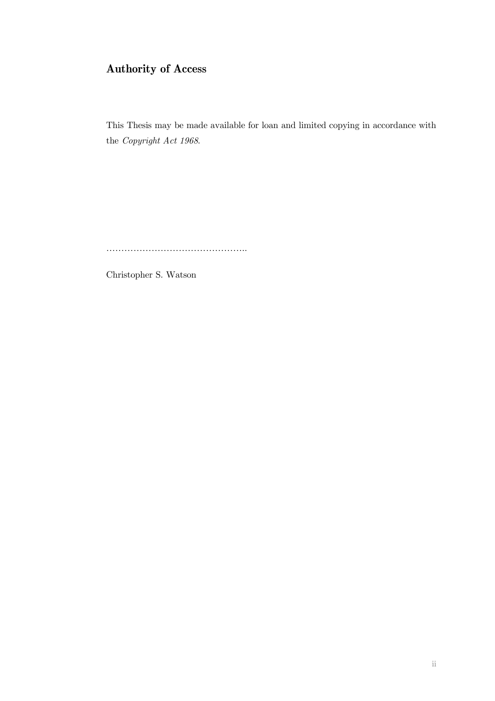#### **Authority of Access**

This Thesis may be made available for loan and limited copying in accordance with the *Copyright Act 1968*.

………………………………………..

Christopher S. Watson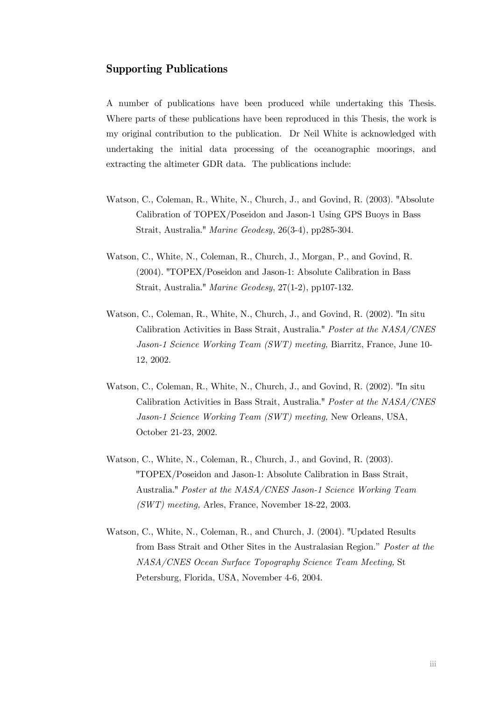#### **Supporting Publications**

A number of publications have been produced while undertaking this Thesis. Where parts of these publications have been reproduced in this Thesis, the work is my original contribution to the publication. Dr Neil White is acknowledged with undertaking the initial data processing of the oceanographic moorings, and extracting the altimeter GDR data. The publications include:

- Watson, C., Coleman, R., White, N., Church, J., and Govind, R. (2003). "Absolute Calibration of TOPEX/Poseidon and Jason-1 Using GPS Buoys in Bass Strait, Australia." *Marine Geodesy*, 26(3-4), pp285-304.
- Watson, C., White, N., Coleman, R., Church, J., Morgan, P., and Govind, R. (2004). "TOPEX/Poseidon and Jason-1: Absolute Calibration in Bass Strait, Australia." *Marine Geodesy*, 27(1-2), pp107-132.
- Watson, C., Coleman, R., White, N., Church, J., and Govind, R. (2002). "In situ Calibration Activities in Bass Strait, Australia." *Poster at the NASA/CNES Jason-1 Science Working Team (SWT) meeting,* Biarritz, France, June 10- 12, 2002.
- Watson, C., Coleman, R., White, N., Church, J., and Govind, R. (2002). "In situ Calibration Activities in Bass Strait, Australia." *Poster at the NASA/CNES Jason-1 Science Working Team (SWT) meeting,* New Orleans, USA, October 21-23, 2002.
- Watson, C., White, N., Coleman, R., Church, J., and Govind, R. (2003). "TOPEX/Poseidon and Jason-1: Absolute Calibration in Bass Strait, Australia." *Poster at the NASA/CNES Jason-1 Science Working Team (SWT) meeting,* Arles, France, November 18-22, 2003.
- Watson, C., White, N., Coleman, R., and Church, J. (2004). "Updated Results from Bass Strait and Other Sites in the Australasian Region." *Poster at the NASA/CNES Ocean Surface Topography Science Team Meeting,* St Petersburg, Florida, USA, November 4-6, 2004.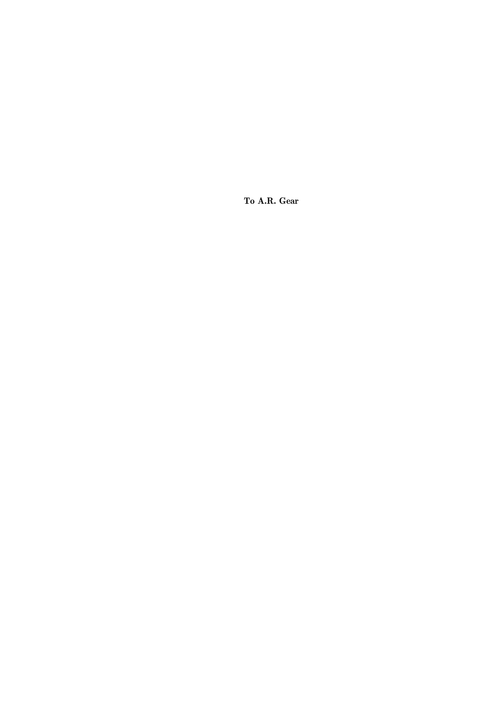**To A.R. Gear**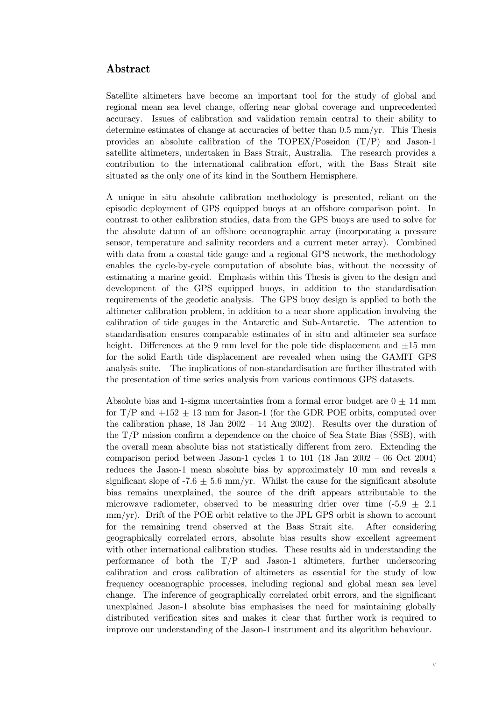#### **Abstract**

Satellite altimeters have become an important tool for the study of global and regional mean sea level change, offering near global coverage and unprecedented accuracy. Issues of calibration and validation remain central to their ability to determine estimates of change at accuracies of better than 0.5 mm/yr. This Thesis provides an absolute calibration of the TOPEX/Poseidon (T/P) and Jason-1 satellite altimeters, undertaken in Bass Strait, Australia. The research provides a contribution to the international calibration effort, with the Bass Strait site situated as the only one of its kind in the Southern Hemisphere.

A unique in situ absolute calibration methodology is presented, reliant on the episodic deployment of GPS equipped buoys at an offshore comparison point. In contrast to other calibration studies, data from the GPS buoys are used to solve for the absolute datum of an offshore oceanographic array (incorporating a pressure sensor, temperature and salinity recorders and a current meter array). Combined with data from a coastal tide gauge and a regional GPS network, the methodology enables the cycle-by-cycle computation of absolute bias, without the necessity of estimating a marine geoid. Emphasis within this Thesis is given to the design and development of the GPS equipped buoys, in addition to the standardisation requirements of the geodetic analysis. The GPS buoy design is applied to both the altimeter calibration problem, in addition to a near shore application involving the calibration of tide gauges in the Antarctic and Sub-Antarctic. The attention to standardisation ensures comparable estimates of in situ and altimeter sea surface height. Differences at the 9 mm level for the pole tide displacement and  $+15$  mm for the solid Earth tide displacement are revealed when using the GAMIT GPS analysis suite. The implications of non-standardisation are further illustrated with the presentation of time series analysis from various continuous GPS datasets.

Absolute bias and 1-sigma uncertainties from a formal error budget are  $0 \pm 14$  mm for  $T/P$  and  $+152 \pm 13$  mm for Jason-1 (for the GDR POE orbits, computed over the calibration phase, 18 Jan 2002 – 14 Aug 2002). Results over the duration of the T/P mission confirm a dependence on the choice of Sea State Bias (SSB), with the overall mean absolute bias not statistically different from zero. Extending the comparison period between Jason-1 cycles 1 to 101 (18 Jan 2002 – 06 Oct 2004) reduces the Jason-1 mean absolute bias by approximately 10 mm and reveals a significant slope of -7.6  $\pm$  5.6 mm/yr. Whilst the cause for the significant absolute bias remains unexplained, the source of the drift appears attributable to the microwave radiometer, observed to be measuring drier over time  $(-5.9 \pm 2.1)$ mm/yr). Drift of the POE orbit relative to the JPL GPS orbit is shown to account for the remaining trend observed at the Bass Strait site. After considering geographically correlated errors, absolute bias results show excellent agreement with other international calibration studies. These results aid in understanding the performance of both the  $T/P$  and Jason-1 altimeters, further underscoring calibration and cross calibration of altimeters as essential for the study of low frequency oceanographic processes, including regional and global mean sea level change. The inference of geographically correlated orbit errors, and the significant unexplained Jason-1 absolute bias emphasises the need for maintaining globally distributed verification sites and makes it clear that further work is required to improve our understanding of the Jason-1 instrument and its algorithm behaviour.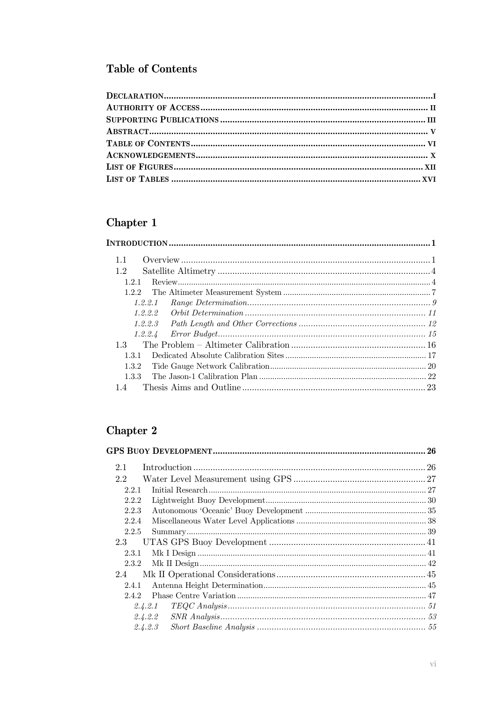#### **Table of Contents**

## Chapter 1

| 1.1                                                                                                                                     |  |
|-----------------------------------------------------------------------------------------------------------------------------------------|--|
| 1.2 <sub>1</sub>                                                                                                                        |  |
| 121                                                                                                                                     |  |
| 1.2.2                                                                                                                                   |  |
| $\label{eq:Range} Range\ \textit{Determination}.\textit{}\textit{}\textit{}\textit{}\textit{}\textit{}\textit{}\textit{}$<br>1, 2, 2, 1 |  |
| 1, 2, 2, 2                                                                                                                              |  |
|                                                                                                                                         |  |
|                                                                                                                                         |  |
| 1.3                                                                                                                                     |  |
| 131                                                                                                                                     |  |
| 1.3.2                                                                                                                                   |  |
| 1.3.3                                                                                                                                   |  |
| 1.4                                                                                                                                     |  |

## Chapter 2

| 2.1           |  |
|---------------|--|
| 2.2           |  |
| 2.2.1         |  |
| 2.2.2         |  |
| 2.2.3         |  |
| 2.2.4         |  |
| 2.2.5         |  |
| 2.3           |  |
| 2.3.1         |  |
| 2.3.2         |  |
| $2.4^{\circ}$ |  |
| 2.4.1         |  |
| 2.4.2         |  |
| 2.4.2.1       |  |
| 2.4.2.2       |  |
| 2.4.2.3       |  |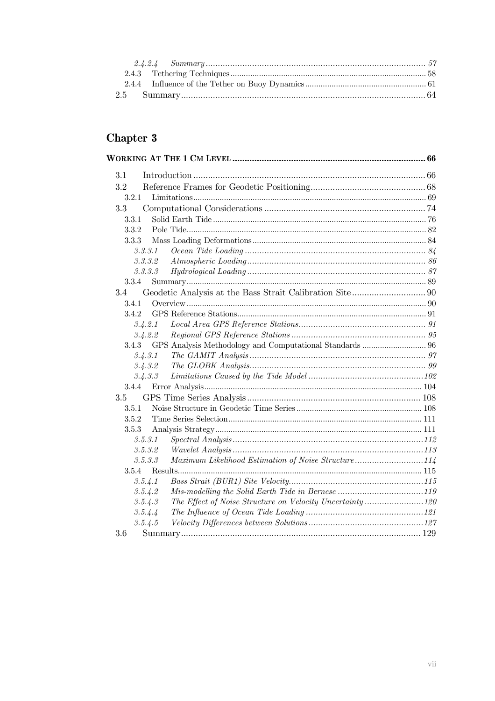## Chapter 3

| 3.1                                                            |  |
|----------------------------------------------------------------|--|
| 3.2                                                            |  |
| 3.2.1                                                          |  |
| 3.3                                                            |  |
| 3.3.1                                                          |  |
| 3.3.2                                                          |  |
| 3.3.3                                                          |  |
| 3, 3, 3, 1                                                     |  |
| 3.3.3.2                                                        |  |
| 3.3.3.3                                                        |  |
| 3.3.4                                                          |  |
| 3.4                                                            |  |
| 3.4.1                                                          |  |
| 3.4.2                                                          |  |
| 3.4.2.1                                                        |  |
| 3.4.2.2                                                        |  |
| 3.4.3                                                          |  |
| 3.4.3.1                                                        |  |
| 3.4.3.2                                                        |  |
| 3.4.3.3                                                        |  |
| 3.4.4                                                          |  |
| 3.5                                                            |  |
| 3.5.1                                                          |  |
| 3.5.2                                                          |  |
| 3.5.3                                                          |  |
| 3.5.3.1<br>3.5.3.2                                             |  |
| Maximum Likelihood Estimation of Noise Structure114<br>3.5.3.3 |  |
| 3.5.4                                                          |  |
| 3.5.4.1                                                        |  |
| 3.5.4.2                                                        |  |
| 3.5.4.3                                                        |  |
| 3.5.4.4                                                        |  |
| 3.5.4.5                                                        |  |
| 3.6                                                            |  |
|                                                                |  |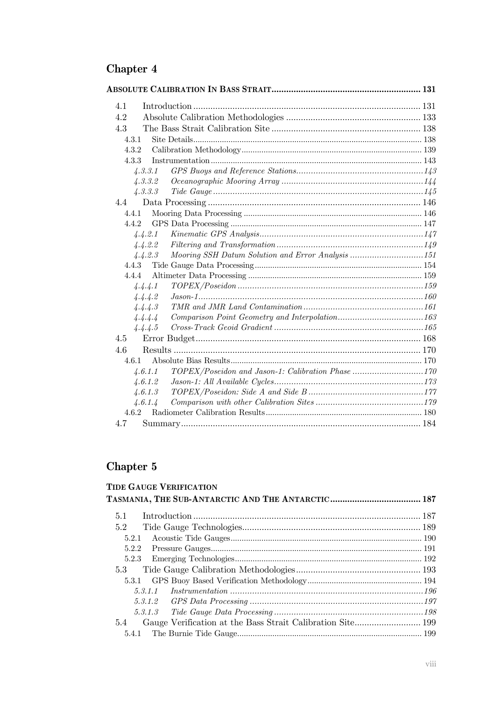## Chapter 4

| 4.1              |                                                   |  |
|------------------|---------------------------------------------------|--|
| 4.2              |                                                   |  |
| 4.3              |                                                   |  |
| 4.3.1            |                                                   |  |
| 4.3.2            |                                                   |  |
| 4.3.3            |                                                   |  |
| $\lambda.3.3.1$  |                                                   |  |
| 4.3.3.2          |                                                   |  |
| 4.3.3.3          |                                                   |  |
| 4.4              |                                                   |  |
| 4.4.1            |                                                   |  |
| 4.4.2            |                                                   |  |
| 4.4.2.1          |                                                   |  |
| 4.4.2.2          |                                                   |  |
| 4.4.2.3          |                                                   |  |
| 4.4.3            |                                                   |  |
| 4.4.4            |                                                   |  |
| 4.4.4.1          |                                                   |  |
| 4.4.4.2          |                                                   |  |
| 4.4.4.3          |                                                   |  |
| 4.4.4.4          |                                                   |  |
| 4.4.4.5          |                                                   |  |
| 4.5              |                                                   |  |
| 4.6              |                                                   |  |
| 4.6.1            |                                                   |  |
| $\sqrt{4.6.1.1}$ | TOPEX/Poseidon and Jason-1: Calibration Phase 170 |  |
| 4.6.1.2          |                                                   |  |
| 4.6.1.3          |                                                   |  |
| 4.6.1.4          |                                                   |  |
| 4.6.2            |                                                   |  |
| 4.7              |                                                   |  |

#### Chapter 5

| <b>TIDE GAUGE VERIFICATION</b> |  |
|--------------------------------|--|
|                                |  |
| 5.1                            |  |
| 5.2                            |  |
|                                |  |
|                                |  |
|                                |  |
| 5.3                            |  |
|                                |  |
| 5.3.1.1                        |  |
|                                |  |
|                                |  |
| 5.4                            |  |
|                                |  |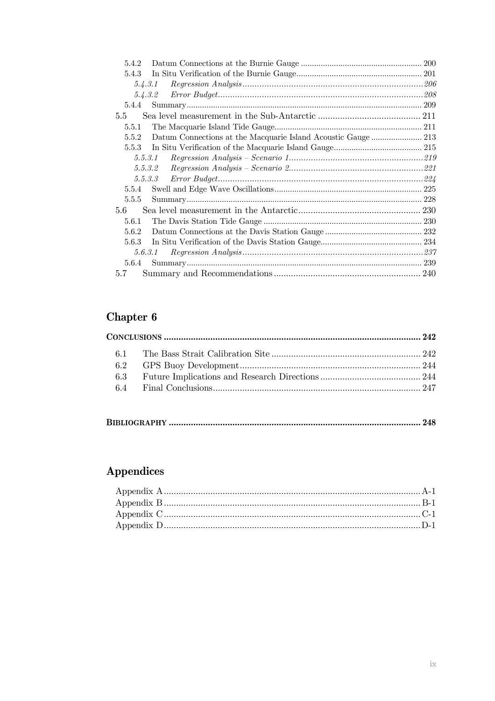| 5.4.2   |  |
|---------|--|
| 5.4.3   |  |
| 5.4.3.1 |  |
| 5.4.3.2 |  |
| 5.4.4   |  |
| 5.5     |  |
| 5.5.1   |  |
| 5.5.2   |  |
| 5.5.3   |  |
| 5.5.3.1 |  |
| 5.5.3.2 |  |
|         |  |
| 5.5.4   |  |
| 5.5.5   |  |
| 5.6     |  |
| 5.6.1   |  |
| 5.6.2   |  |
| 5.6.3   |  |
| 5.6.3.1 |  |
| 5.6.4   |  |
| 5.7     |  |
|         |  |

# Chapter 6

|--|--|

## Appendices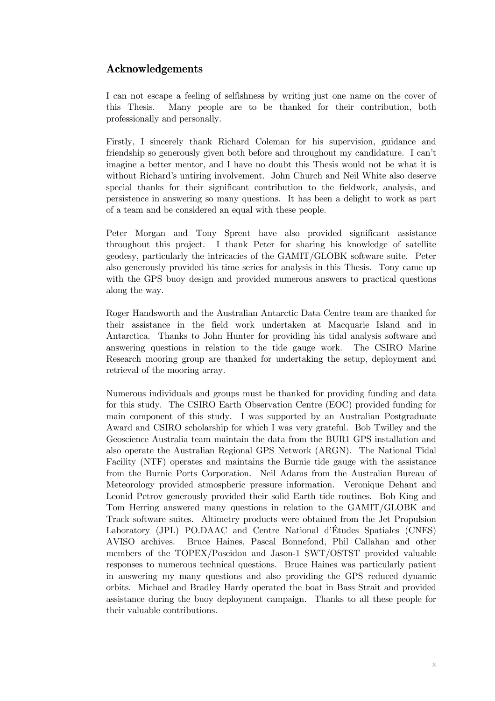#### **Acknowledgements**

I can not escape a feeling of selfishness by writing just one name on the cover of this Thesis. Many people are to be thanked for their contribution, both professionally and personally.

Firstly, I sincerely thank Richard Coleman for his supervision, guidance and friendship so generously given both before and throughout my candidature. I can't imagine a better mentor, and I have no doubt this Thesis would not be what it is without Richard's untiring involvement. John Church and Neil White also deserve special thanks for their significant contribution to the fieldwork, analysis, and persistence in answering so many questions. It has been a delight to work as part of a team and be considered an equal with these people.

Peter Morgan and Tony Sprent have also provided significant assistance throughout this project. I thank Peter for sharing his knowledge of satellite geodesy, particularly the intricacies of the GAMIT/GLOBK software suite. Peter also generously provided his time series for analysis in this Thesis. Tony came up with the GPS buoy design and provided numerous answers to practical questions along the way.

Roger Handsworth and the Australian Antarctic Data Centre team are thanked for their assistance in the field work undertaken at Macquarie Island and in Antarctica. Thanks to John Hunter for providing his tidal analysis software and answering questions in relation to the tide gauge work. The CSIRO Marine Research mooring group are thanked for undertaking the setup, deployment and retrieval of the mooring array.

Numerous individuals and groups must be thanked for providing funding and data for this study. The CSIRO Earth Observation Centre (EOC) provided funding for main component of this study. I was supported by an Australian Postgraduate Award and CSIRO scholarship for which I was very grateful. Bob Twilley and the Geoscience Australia team maintain the data from the BUR1 GPS installation and also operate the Australian Regional GPS Network (ARGN). The National Tidal Facility (NTF) operates and maintains the Burnie tide gauge with the assistance from the Burnie Ports Corporation. Neil Adams from the Australian Bureau of Meteorology provided atmospheric pressure information. Veronique Dehant and Leonid Petrov generously provided their solid Earth tide routines. Bob King and Tom Herring answered many questions in relation to the GAMIT/GLOBK and Track software suites. Altimetry products were obtained from the Jet Propulsion Laboratory (JPL) PO.DAAC and Centre National d'Études Spatiales (CNES) AVISO archives. Bruce Haines, Pascal Bonnefond, Phil Callahan and other members of the TOPEX/Poseidon and Jason-1 SWT/OSTST provided valuable responses to numerous technical questions. Bruce Haines was particularly patient in answering my many questions and also providing the GPS reduced dynamic orbits. Michael and Bradley Hardy operated the boat in Bass Strait and provided assistance during the buoy deployment campaign. Thanks to all these people for their valuable contributions.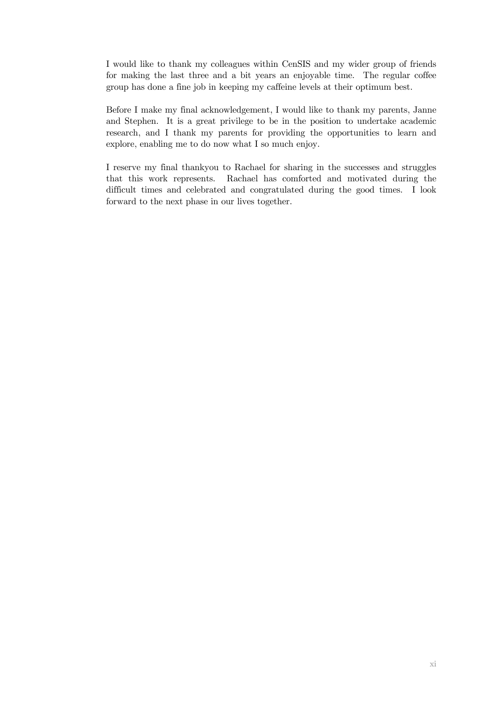I would like to thank my colleagues within CenSIS and my wider group of friends for making the last three and a bit years an enjoyable time. The regular coffee group has done a fine job in keeping my caffeine levels at their optimum best.

Before I make my final acknowledgement, I would like to thank my parents, Janne and Stephen. It is a great privilege to be in the position to undertake academic research, and I thank my parents for providing the opportunities to learn and explore, enabling me to do now what I so much enjoy.

I reserve my final thankyou to Rachael for sharing in the successes and struggles that this work represents. Rachael has comforted and motivated during the difficult times and celebrated and congratulated during the good times. I look forward to the next phase in our lives together.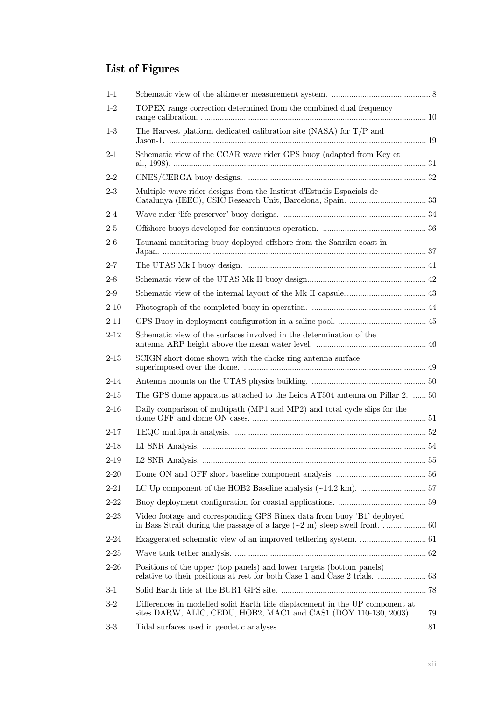#### **List of Figures**

| $1 - 1$  |                                                                                                                                                      |  |
|----------|------------------------------------------------------------------------------------------------------------------------------------------------------|--|
| $1-2$    | TOPEX range correction determined from the combined dual frequency                                                                                   |  |
| $1-3$    | The Harvest platform dedicated calibration site (NASA) for $T/P$ and                                                                                 |  |
| 2-1      | Schematic view of the CCAR wave rider GPS buoy (adapted from Key et                                                                                  |  |
| $2 - 2$  |                                                                                                                                                      |  |
| $2 - 3$  | Multiple wave rider designs from the Institut d'Estudis Espacials de                                                                                 |  |
| $2 - 4$  |                                                                                                                                                      |  |
| $2 - 5$  |                                                                                                                                                      |  |
| $2-6$    | Tsunami monitoring buoy deployed offshore from the Sanriku coast in                                                                                  |  |
| $2 - 7$  |                                                                                                                                                      |  |
| $2 - 8$  |                                                                                                                                                      |  |
| $2-9$    |                                                                                                                                                      |  |
| $2 - 10$ |                                                                                                                                                      |  |
| $2 - 11$ |                                                                                                                                                      |  |
| $2 - 12$ | Schematic view of the surfaces involved in the determination of the                                                                                  |  |
| $2 - 13$ | SCIGN short dome shown with the choke ring antenna surface                                                                                           |  |
| $2 - 14$ |                                                                                                                                                      |  |
| $2 - 15$ | The GPS dome apparatus attached to the Leica AT504 antenna on Pillar 2.  50                                                                          |  |
| $2 - 16$ | Daily comparison of multipath (MP1 and MP2) and total cycle slips for the                                                                            |  |
| $2 - 17$ |                                                                                                                                                      |  |
| $2 - 18$ |                                                                                                                                                      |  |
| $2 - 19$ |                                                                                                                                                      |  |
| $2 - 20$ |                                                                                                                                                      |  |
| $2 - 21$ |                                                                                                                                                      |  |
| $2 - 22$ |                                                                                                                                                      |  |
| $2 - 23$ | Video footage and corresponding GPS Rinex data from buoy 'B1' deployed                                                                               |  |
| $2 - 24$ |                                                                                                                                                      |  |
| $2 - 25$ |                                                                                                                                                      |  |
| $2 - 26$ | Positions of the upper (top panels) and lower targets (bottom panels)<br>relative to their positions at rest for both Case 1 and Case 2 trials.  63  |  |
| $3-1$    |                                                                                                                                                      |  |
| $3-2$    | Differences in modelled solid Earth tide displacement in the UP component at<br>sites DARW, ALIC, CEDU, HOB2, MAC1 and CAS1 (DOY 110-130, 2003).  79 |  |
| $3-3$    |                                                                                                                                                      |  |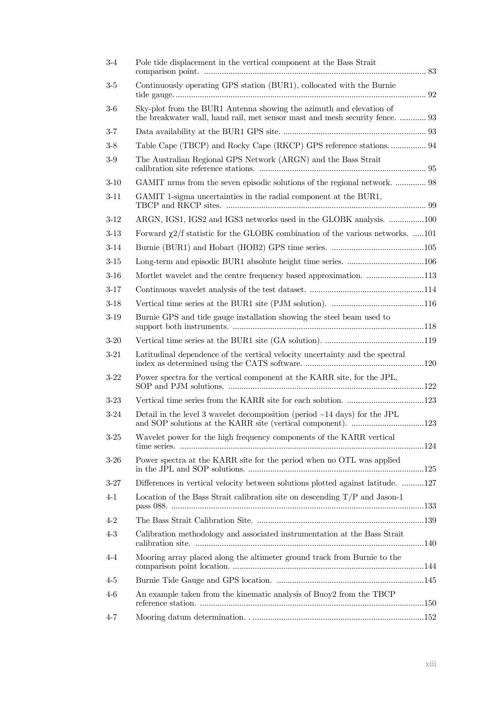| $3-4$    | Pole tide displacement in the vertical component at the Bass Strait                                                                                 |  |
|----------|-----------------------------------------------------------------------------------------------------------------------------------------------------|--|
| $3-5$    | Continuously operating GPS station (BUR1), collocated with the Burnie                                                                               |  |
| $3-6$    | Sky-plot from the BUR1 Antenna showing the azimuth and elevation of<br>the breakwater wall, hand rail, met sensor mast and mesh security fence.  93 |  |
| $3 - 7$  |                                                                                                                                                     |  |
| $3-8$    | Table Cape (TBCP) and Rocky Cape (RKCP) GPS reference stations.  94                                                                                 |  |
| $3-9$    | The Australian Regional GPS Network (ARGN) and the Bass Strait                                                                                      |  |
| $3-10$   | GAMIT nrms from the seven episodic solutions of the regional network.  98                                                                           |  |
| $3 - 11$ | GAMIT 1-sigma uncertainties in the radial component at the BUR1,                                                                                    |  |
| $3-12$   | ARGN, IGS1, IGS2 and IGS3 networks used in the GLOBK analysis. 100                                                                                  |  |
| $3 - 13$ | Forward $\chi$ 2/f statistic for the GLOBK combination of the various networks. 101                                                                 |  |
| $3-14$   |                                                                                                                                                     |  |
| $3 - 15$ |                                                                                                                                                     |  |
| $3 - 16$ | Mortlet wavelet and the centre frequency based approximation. 113                                                                                   |  |
| $3-17$   |                                                                                                                                                     |  |
| $3-18$   |                                                                                                                                                     |  |
| $3-19$   | Burnie GPS and tide gauge installation showing the steel beam used to                                                                               |  |
| $3-20$   |                                                                                                                                                     |  |
| $3-21$   | Latitudinal dependence of the vertical velocity uncertainty and the spectral                                                                        |  |
| $3-22$   | Power spectra for the vertical component at the KARR site, for the JPL,                                                                             |  |
| $3-23$   |                                                                                                                                                     |  |
| $3 - 24$ | Detail in the level 3 wavelet decomposition (period $\sim$ 14 days) for the JPL                                                                     |  |
| $3-25$   | Wavelet power for the high frequency components of the KARR vertical                                                                                |  |
| $3-26$   | Power spectra at the KARR site for the period when no OTL was applied                                                                               |  |
| $3-27$   | Differences in vertical velocity between solutions plotted against latitude. 127                                                                    |  |
| $4 - 1$  | Location of the Bass Strait calibration site on descending $T/P$ and Jason-1                                                                        |  |
| $4 - 2$  |                                                                                                                                                     |  |
| $4-3$    | Calibration methodology and associated instrumentation at the Bass Strait                                                                           |  |
| $4 - 4$  | Mooring array placed along the altimeter ground track from Burnie to the                                                                            |  |
| $4 - 5$  |                                                                                                                                                     |  |
| $4-6$    | An example taken from the kinematic analysis of Buoy2 from the TBCP                                                                                 |  |
| $4 - 7$  |                                                                                                                                                     |  |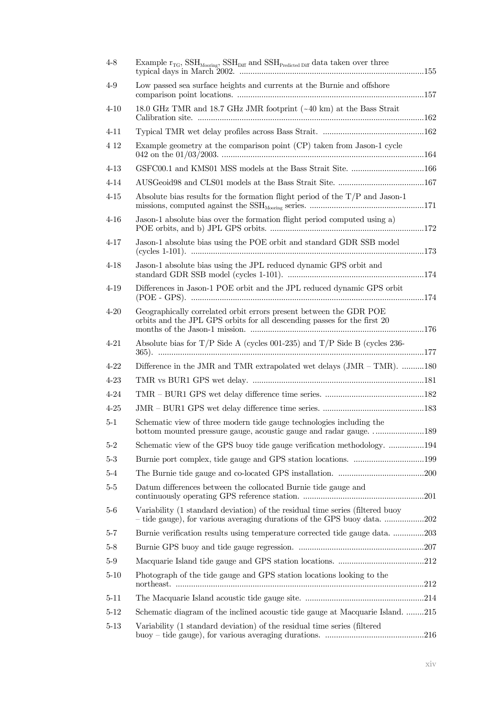| $4 - 8$  | Example $r_{TG}$ , $SSH_{\text{Mooring}}$ , $SSH_{\text{Diff}}$ and $SSH_{\text{Predicted Diff}}$ data taken over three                                   |  |
|----------|-----------------------------------------------------------------------------------------------------------------------------------------------------------|--|
| $4-9$    | Low passed sea surface heights and currents at the Burnie and offshore                                                                                    |  |
| $4 - 10$ | 18.0 GHz TMR and 18.7 GHz JMR footprint (~40 km) at the Bass Strait                                                                                       |  |
| $4 - 11$ |                                                                                                                                                           |  |
| 4 1 2    | Example geometry at the comparison point (CP) taken from Jason-1 cycle                                                                                    |  |
| $4 - 13$ |                                                                                                                                                           |  |
| $4 - 14$ |                                                                                                                                                           |  |
| $4 - 15$ | Absolute bias results for the formation flight period of the $T/P$ and Jason-1                                                                            |  |
| $4 - 16$ | Jason-1 absolute bias over the formation flight period computed using a)                                                                                  |  |
| $4 - 17$ | Jason-1 absolute bias using the POE orbit and standard GDR SSB model                                                                                      |  |
| $4 - 18$ | Jason-1 absolute bias using the JPL reduced dynamic GPS orbit and                                                                                         |  |
| $4 - 19$ | Differences in Jason-1 POE orbit and the JPL reduced dynamic GPS orbit                                                                                    |  |
| $4 - 20$ | Geographically correlated orbit errors present between the GDR POE<br>orbits and the JPL GPS orbits for all descending passes for the first 20            |  |
| 4-21     | Absolute bias for T/P Side A (cycles 001-235) and T/P Side B (cycles 236-                                                                                 |  |
| $4 - 22$ | Difference in the JMR and TMR extrapolated wet delays (JMR - TMR). 180                                                                                    |  |
| $4 - 23$ |                                                                                                                                                           |  |
| $4 - 24$ |                                                                                                                                                           |  |
| $4 - 25$ |                                                                                                                                                           |  |
| $5-1$    | Schematic view of three modern tide gauge technologies including the<br>bottom mounted pressure gauge, acoustic gauge and radar gauge. 189                |  |
| $5-2$    | Schematic view of the GPS buoy tide gauge verification methodology. 194                                                                                   |  |
| $5-3$    |                                                                                                                                                           |  |
| $5 - 4$  |                                                                                                                                                           |  |
| $5 - 5$  | Datum differences between the collocated Burnie tide gauge and                                                                                            |  |
| 5-6      | Variability (1 standard deviation) of the residual time series (filtered buoy<br>- tide gauge), for various averaging durations of the GPS buoy data. 202 |  |
| $5 - 7$  | Burnie verification results using temperature corrected tide gauge data203                                                                                |  |
| $5-8$    |                                                                                                                                                           |  |
| $5-9$    |                                                                                                                                                           |  |
| $5 - 10$ | Photograph of the tide gauge and GPS station locations looking to the                                                                                     |  |
| 5-11     |                                                                                                                                                           |  |
| $5 - 12$ | Schematic diagram of the inclined acoustic tide gauge at Macquarie Island. 215                                                                            |  |
| $5 - 13$ | Variability (1 standard deviation) of the residual time series (filtered                                                                                  |  |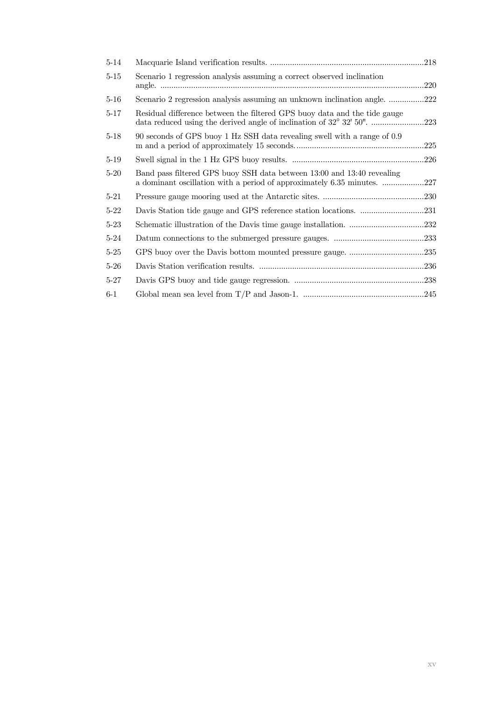| $5 - 14$ |                                                                                                                                                      |
|----------|------------------------------------------------------------------------------------------------------------------------------------------------------|
| $5 - 15$ | Scenario 1 regression analysis assuming a correct observed inclination<br>.220                                                                       |
| $5-16$   | Scenario 2 regression analysis assuming an unknown inclination angle. 222                                                                            |
| $5 - 17$ | Residual difference between the filtered GPS buoy data and the tide gauge<br>data reduced using the derived angle of inclination of 32° 32′ 50″. 223 |
| $5 - 18$ | 90 seconds of GPS buoy 1 Hz SSH data revealing swell with a range of 0.9<br>.225                                                                     |
| $5 - 19$ |                                                                                                                                                      |
| $5 - 20$ | Band pass filtered GPS buoy SSH data between 13:00 and 13:40 revealing                                                                               |
| $5 - 21$ |                                                                                                                                                      |
| $5 - 22$ |                                                                                                                                                      |
| $5 - 23$ |                                                                                                                                                      |
| $5 - 24$ |                                                                                                                                                      |
| $5 - 25$ |                                                                                                                                                      |
| $5 - 26$ |                                                                                                                                                      |
| $5 - 27$ |                                                                                                                                                      |
| $6-1$    |                                                                                                                                                      |